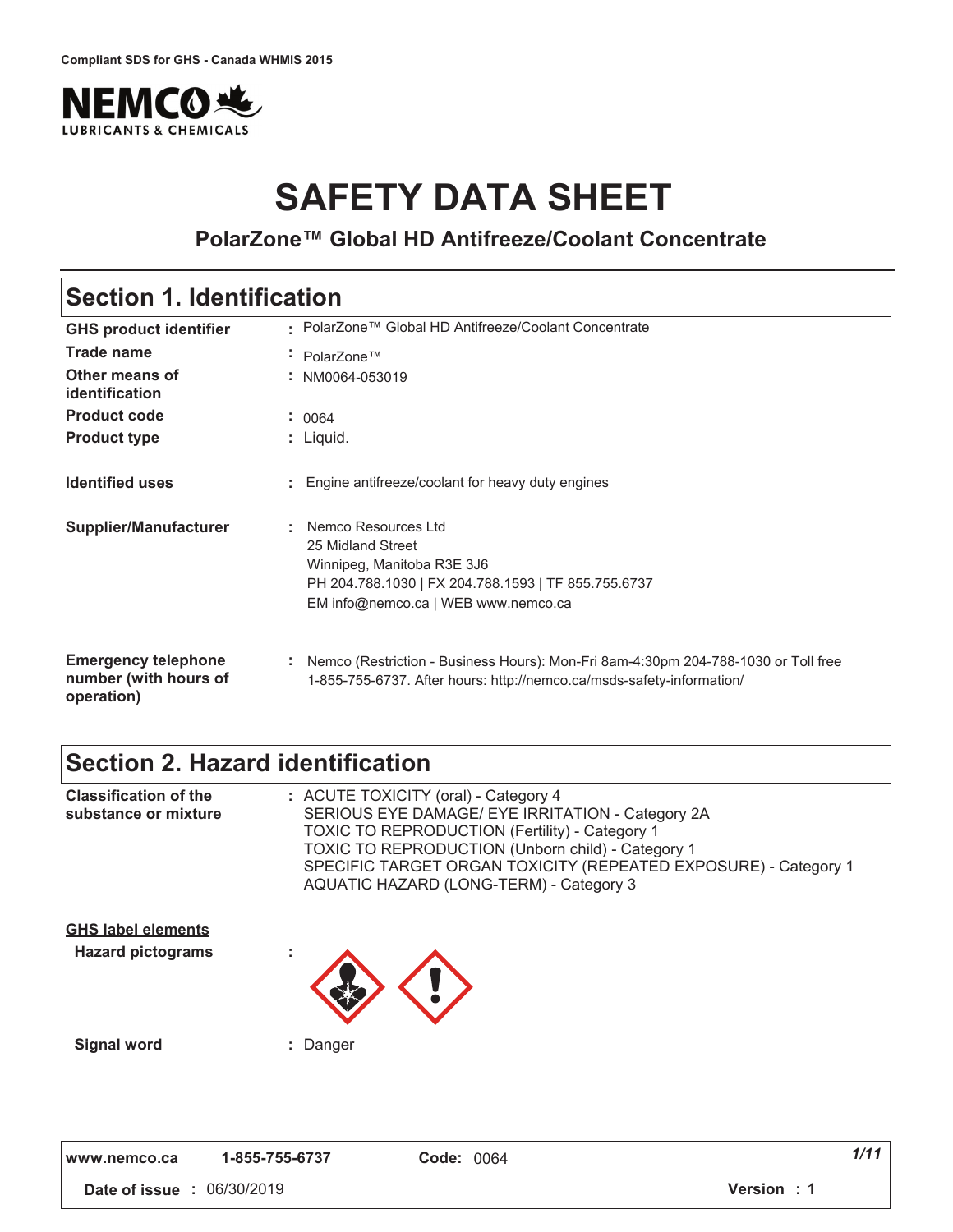

# **SAFETY DATA SHEET**

#### **PolarZone™ Global HD Antifreeze/Coolant Concentrate**

### **Section 1. Identification**

| <b>GHS product identifier</b>                                     | : PolarZone™ Global HD Antifreeze/Coolant Concentrate                                                                                                                |
|-------------------------------------------------------------------|----------------------------------------------------------------------------------------------------------------------------------------------------------------------|
| <b>Trade name</b>                                                 | PolarZone™<br>٠.                                                                                                                                                     |
| Other means of<br>identification                                  | NM0064-053019<br>$\sim$                                                                                                                                              |
| <b>Product code</b>                                               | : 0064                                                                                                                                                               |
| <b>Product type</b>                                               | : Liquid.                                                                                                                                                            |
| <b>Identified uses</b>                                            | Engine antifreeze/coolant for heavy duty engines                                                                                                                     |
| <b>Supplier/Manufacturer</b>                                      | Nemco Resources Ltd<br>25 Midland Street<br>Winnipeg, Manitoba R3E 3J6<br>PH 204.788.1030   FX 204.788.1593   TF 855.755.6737<br>EM info@nemco.ca   WEB www.nemco.ca |
| <b>Emergency telephone</b><br>number (with hours of<br>operation) | Nemco (Restriction - Business Hours): Mon-Fri 8am-4:30pm 204-788-1030 or Toll free<br>÷.<br>1-855-755-6737. After hours: http://nemco.ca/msds-safety-information/    |

### **Section 2. Hazard identification**

| <b>Classification of the</b><br>substance or mixture  | : ACUTE TOXICITY (oral) - Category 4<br>SERIOUS EYE DAMAGE/ EYE IRRITATION - Category 2A<br><b>TOXIC TO REPRODUCTION (Fertility) - Category 1</b><br><b>TOXIC TO REPRODUCTION (Unborn child) - Category 1</b><br>SPECIFIC TARGET ORGAN TOXICITY (REPEATED EXPOSURE) - Category 1<br>AQUATIC HAZARD (LONG-TERM) - Category 3 |
|-------------------------------------------------------|-----------------------------------------------------------------------------------------------------------------------------------------------------------------------------------------------------------------------------------------------------------------------------------------------------------------------------|
| <b>GHS label elements</b><br><b>Hazard pictograms</b> |                                                                                                                                                                                                                                                                                                                             |
| <b>Signal word</b>                                    | : Danger                                                                                                                                                                                                                                                                                                                    |

 **#** 01"/0"\$0'2 **5 #** '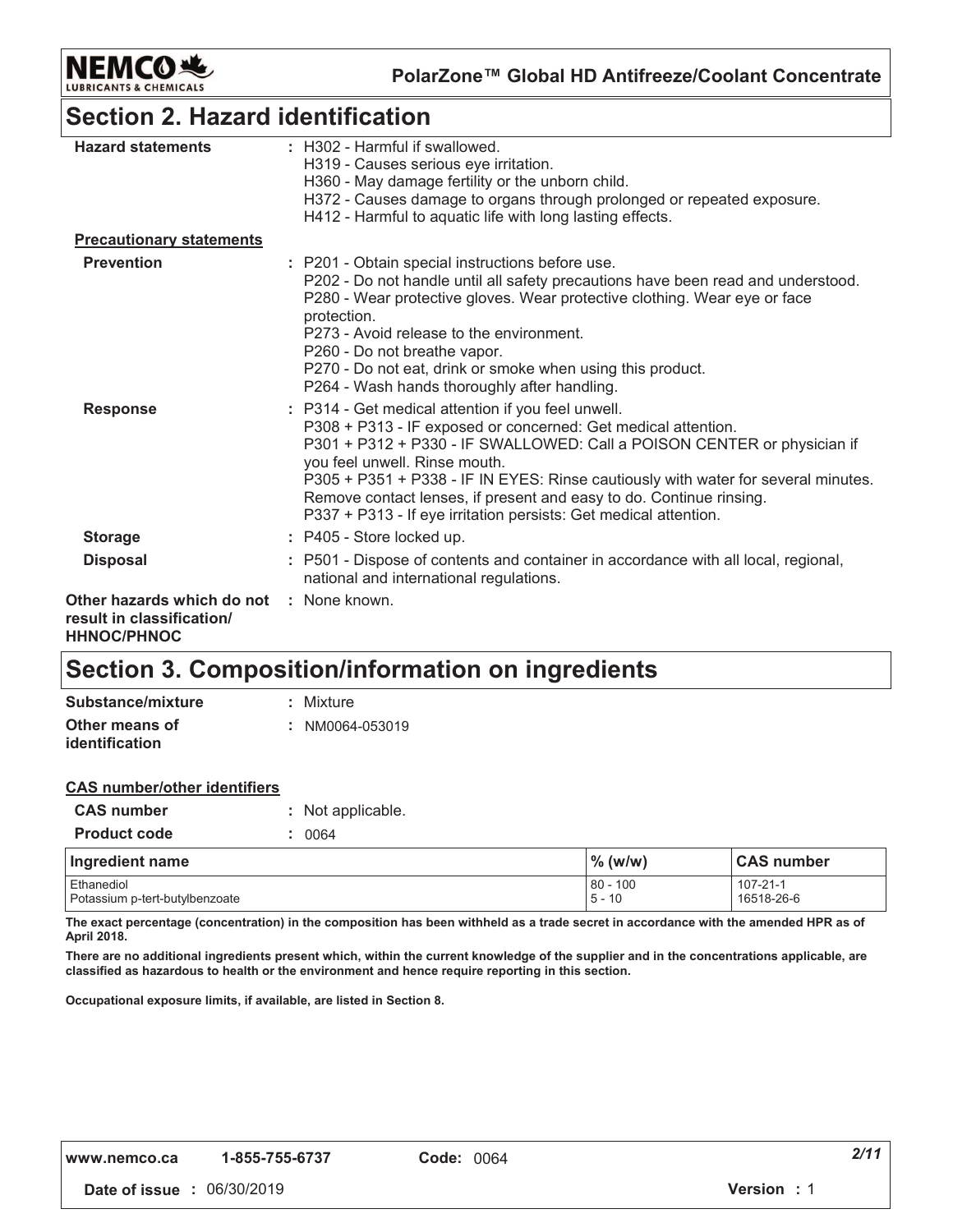

### **Section 2. Hazard identification**

| <b>Hazard statements</b>                                                      | : H302 - Harmful if swallowed.<br>H319 - Causes serious eye irritation.<br>H360 - May damage fertility or the unborn child.<br>H372 - Causes damage to organs through prolonged or repeated exposure.<br>H412 - Harmful to aquatic life with long lasting effects.                                                                                                                                                                                              |
|-------------------------------------------------------------------------------|-----------------------------------------------------------------------------------------------------------------------------------------------------------------------------------------------------------------------------------------------------------------------------------------------------------------------------------------------------------------------------------------------------------------------------------------------------------------|
| <b>Precautionary statements</b>                                               |                                                                                                                                                                                                                                                                                                                                                                                                                                                                 |
| <b>Prevention</b>                                                             | : P201 - Obtain special instructions before use.<br>P202 - Do not handle until all safety precautions have been read and understood.<br>P280 - Wear protective gloves. Wear protective clothing. Wear eye or face<br>protection.<br>P273 - Avoid release to the environment.<br>P260 - Do not breathe vapor.<br>P270 - Do not eat, drink or smoke when using this product.<br>P264 - Wash hands thoroughly after handling.                                      |
| <b>Response</b>                                                               | : P314 - Get medical attention if you feel unwell.<br>P308 + P313 - IF exposed or concerned: Get medical attention.<br>P301 + P312 + P330 - IF SWALLOWED: Call a POISON CENTER or physician if<br>you feel unwell. Rinse mouth.<br>P305 + P351 + P338 - IF IN EYES: Rinse cautiously with water for several minutes.<br>Remove contact lenses, if present and easy to do. Continue rinsing.<br>P337 + P313 - If eye irritation persists: Get medical attention. |
| <b>Storage</b>                                                                | : P405 - Store locked up.                                                                                                                                                                                                                                                                                                                                                                                                                                       |
| <b>Disposal</b>                                                               | : P501 - Dispose of contents and container in accordance with all local, regional,<br>national and international regulations.                                                                                                                                                                                                                                                                                                                                   |
| Other hazards which do not<br>result in classification/<br><b>HHNOC/PHNOC</b> | : None known.                                                                                                                                                                                                                                                                                                                                                                                                                                                   |

### **Section 3. Composition/information on ingredients**

| Substance/mixture     | : Mixture       |
|-----------------------|-----------------|
| Other means of        | : NM0064-053019 |
| <i>identification</i> |                 |

| <b>CAS</b> number/other identifiers |                   |
|-------------------------------------|-------------------|
| <b>CAS number</b>                   | : Not applicable. |
| <b>Product code</b>                 | : 0064            |
|                                     |                   |

| Ingredient name                              | $\%$ (w/w)                  | <b>CAS number</b>      |
|----------------------------------------------|-----------------------------|------------------------|
| Ethanediol<br>Potassium p-tert-butylbenzoate | $80 -$<br>100 ۰<br>$5 - 10$ | 107-21-1<br>16518-26-6 |

The exact percentage (concentration) in the composition has been withheld as a trade secret in accordance with the amended HPR as of April 2018.

There are no additional ingredients present which, within the current knowledge of the supplier and in the concentrations applicable, are classified as hazardous to health or the environment and hence require reporting in this section.

Occupational exposure limits, if available, are listed in Section 8.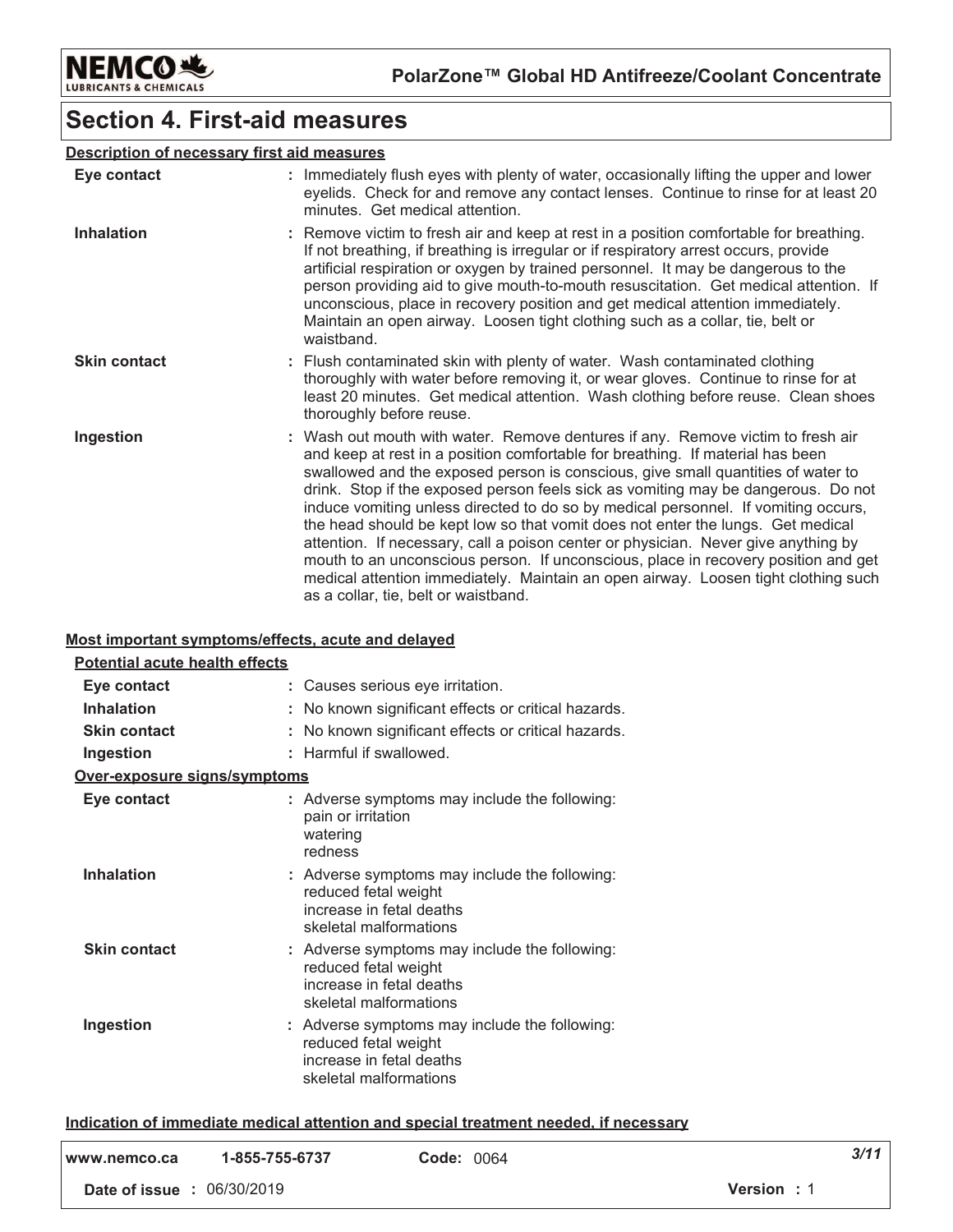

### **Section 4. First-aid measures**

#### **Description of necessary first aid measures**

| Eye contact         | : Immediately flush eyes with plenty of water, occasionally lifting the upper and lower<br>eyelids. Check for and remove any contact lenses. Continue to rinse for at least 20<br>minutes. Get medical attention.                                                                                                                                                                                                                                                                                                                                                                                                                                                                                                                                                                                                             |
|---------------------|-------------------------------------------------------------------------------------------------------------------------------------------------------------------------------------------------------------------------------------------------------------------------------------------------------------------------------------------------------------------------------------------------------------------------------------------------------------------------------------------------------------------------------------------------------------------------------------------------------------------------------------------------------------------------------------------------------------------------------------------------------------------------------------------------------------------------------|
| <b>Inhalation</b>   | : Remove victim to fresh air and keep at rest in a position comfortable for breathing.<br>If not breathing, if breathing is irregular or if respiratory arrest occurs, provide<br>artificial respiration or oxygen by trained personnel. It may be dangerous to the<br>person providing aid to give mouth-to-mouth resuscitation. Get medical attention. If<br>unconscious, place in recovery position and get medical attention immediately.<br>Maintain an open airway. Loosen tight clothing such as a collar, tie, belt or<br>waistband.                                                                                                                                                                                                                                                                                  |
| <b>Skin contact</b> | : Flush contaminated skin with plenty of water. Wash contaminated clothing<br>thoroughly with water before removing it, or wear gloves. Continue to rinse for at<br>least 20 minutes. Get medical attention. Wash clothing before reuse. Clean shoes<br>thoroughly before reuse.                                                                                                                                                                                                                                                                                                                                                                                                                                                                                                                                              |
| Ingestion           | : Wash out mouth with water. Remove dentures if any. Remove victim to fresh air<br>and keep at rest in a position comfortable for breathing. If material has been<br>swallowed and the exposed person is conscious, give small quantities of water to<br>drink. Stop if the exposed person feels sick as vomiting may be dangerous. Do not<br>induce vomiting unless directed to do so by medical personnel. If vomiting occurs,<br>the head should be kept low so that vomit does not enter the lungs. Get medical<br>attention. If necessary, call a poison center or physician. Never give anything by<br>mouth to an unconscious person. If unconscious, place in recovery position and get<br>medical attention immediately. Maintain an open airway. Loosen tight clothing such<br>as a collar, tie, belt or waistband. |

#### Most important symptoms/effects, acute and delayed

| Potential acute health effects |                                                                                                                             |
|--------------------------------|-----------------------------------------------------------------------------------------------------------------------------|
| Eye contact                    | : Causes serious eye irritation.                                                                                            |
| <b>Inhalation</b>              | No known significant effects or critical hazards.                                                                           |
| <b>Skin contact</b>            | No known significant effects or critical hazards.                                                                           |
| Ingestion                      | Harmful if swallowed.                                                                                                       |
| Over-exposure signs/symptoms   |                                                                                                                             |
| Eye contact                    | : Adverse symptoms may include the following:<br>pain or irritation<br>watering<br>redness                                  |
| <b>Inhalation</b>              | : Adverse symptoms may include the following:<br>reduced fetal weight<br>increase in fetal deaths<br>skeletal malformations |
| <b>Skin contact</b>            | : Adverse symptoms may include the following:<br>reduced fetal weight<br>increase in fetal deaths<br>skeletal malformations |
| Ingestion                      | : Adverse symptoms may include the following:<br>reduced fetal weight<br>increase in fetal deaths<br>skeletal malformations |

#### Indication of immediate medical attention and special treatment needed, if necessary

| l www.nemco.ca                    | 1-855-755-6737 | <b>Code: 0064</b> | 3/11       |
|-----------------------------------|----------------|-------------------|------------|
| <b>Date of issue : 06/30/2019</b> |                |                   | Version: 1 |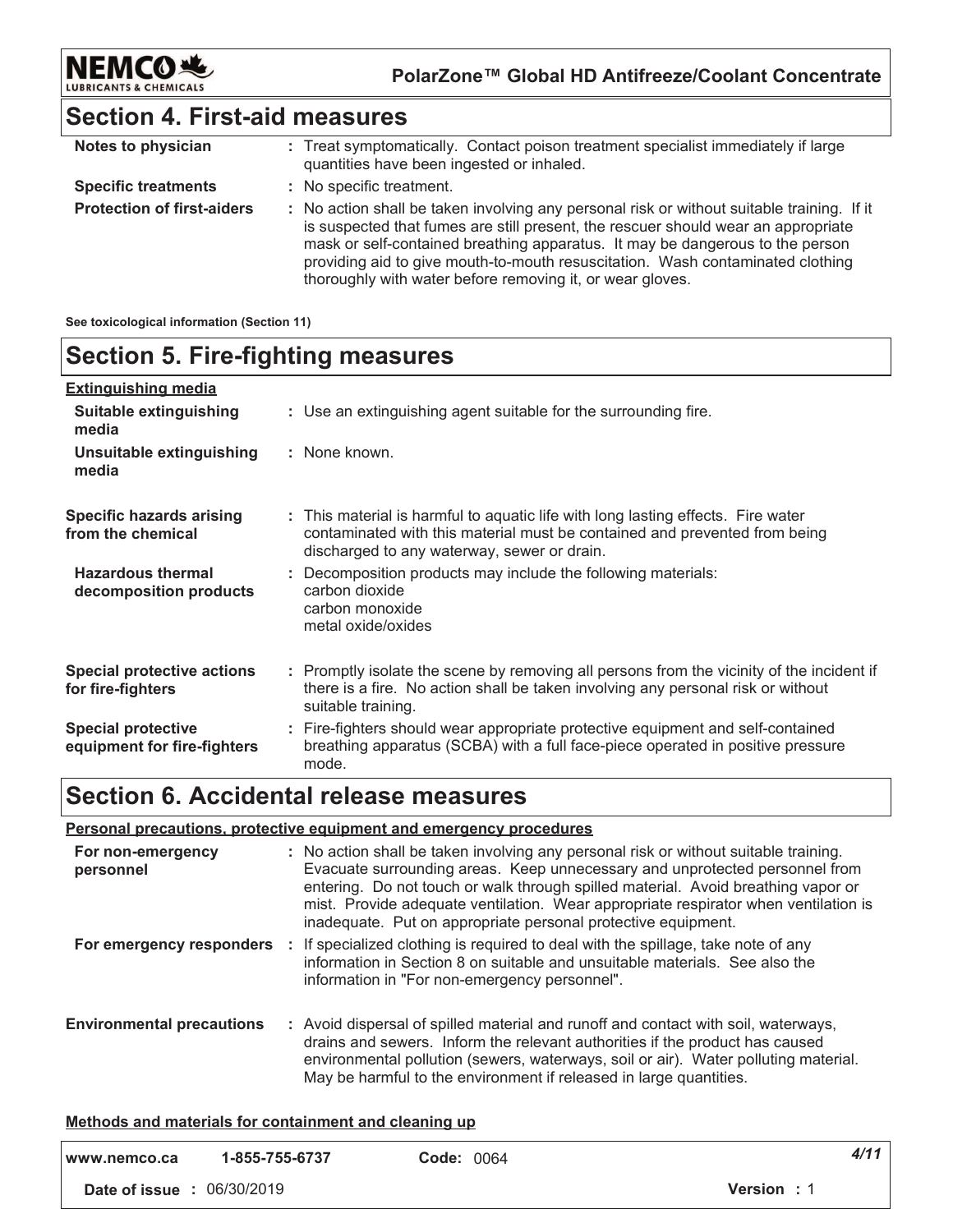

### **Section 4. First-aid measures**

| Notes to physician                | : Treat symptomatically. Contact poison treatment specialist immediately if large<br>quantities have been ingested or inhaled.                                                                                                                                                                                                                                                                                  |
|-----------------------------------|-----------------------------------------------------------------------------------------------------------------------------------------------------------------------------------------------------------------------------------------------------------------------------------------------------------------------------------------------------------------------------------------------------------------|
| <b>Specific treatments</b>        | : No specific treatment.                                                                                                                                                                                                                                                                                                                                                                                        |
| <b>Protection of first-aiders</b> | : No action shall be taken involving any personal risk or without suitable training. If it<br>is suspected that fumes are still present, the rescuer should wear an appropriate<br>mask or self-contained breathing apparatus. It may be dangerous to the person<br>providing aid to give mouth-to-mouth resuscitation. Wash contaminated clothing<br>thoroughly with water before removing it, or wear gloves. |

#### **See toxicological information (Section 11)**

### **Section 5. Fire-fighting measures**

| <b>Extinguishing media</b>                               |                                                                                                                                                                                                               |
|----------------------------------------------------------|---------------------------------------------------------------------------------------------------------------------------------------------------------------------------------------------------------------|
| Suitable extinguishing<br>media                          | : Use an extinguishing agent suitable for the surrounding fire.                                                                                                                                               |
| Unsuitable extinguishing<br>media                        | : None known.                                                                                                                                                                                                 |
| <b>Specific hazards arising</b><br>from the chemical     | : This material is harmful to aquatic life with long lasting effects. Fire water<br>contaminated with this material must be contained and prevented from being<br>discharged to any waterway, sewer or drain. |
| <b>Hazardous thermal</b><br>decomposition products       | : Decomposition products may include the following materials:<br>carbon dioxide<br>carbon monoxide<br>metal oxide/oxides                                                                                      |
| <b>Special protective actions</b><br>for fire-fighters   | : Promptly isolate the scene by removing all persons from the vicinity of the incident if<br>there is a fire. No action shall be taken involving any personal risk or without<br>suitable training.           |
| <b>Special protective</b><br>equipment for fire-fighters | : Fire-fighters should wear appropriate protective equipment and self-contained<br>breathing apparatus (SCBA) with a full face-piece operated in positive pressure<br>mode.                                   |

### **Section 6. Accidental release measures**

#### **<u>Personal precautions, protective equipment and emergency procedures</u>**

| For non-emergency<br>personnel   | : No action shall be taken involving any personal risk or without suitable training.<br>Evacuate surrounding areas. Keep unnecessary and unprotected personnel from<br>entering. Do not touch or walk through spilled material. Avoid breathing vapor or<br>mist. Provide adequate ventilation. Wear appropriate respirator when ventilation is<br>inadequate. Put on appropriate personal protective equipment. |
|----------------------------------|------------------------------------------------------------------------------------------------------------------------------------------------------------------------------------------------------------------------------------------------------------------------------------------------------------------------------------------------------------------------------------------------------------------|
| For emergency responders         | : If specialized clothing is required to deal with the spillage, take note of any<br>information in Section 8 on suitable and unsuitable materials. See also the<br>information in "For non-emergency personnel".                                                                                                                                                                                                |
| <b>Environmental precautions</b> | : Avoid dispersal of spilled material and runoff and contact with soil, waterways,<br>drains and sewers. Inform the relevant authorities if the product has caused<br>environmental pollution (sewers, waterways, soil or air). Water polluting material.<br>May be harmful to the environment if released in large quantities.                                                                                  |

#### <u>**Methods and materials for containment and cleaning up**</u>

| www.nemco.ca                      | 1-855-755-6737 | <b>Code: 0064</b>  | 4/11 |
|-----------------------------------|----------------|--------------------|------|
| <b>Date of issue : 06/30/2019</b> |                | <b>Version</b> : 1 |      |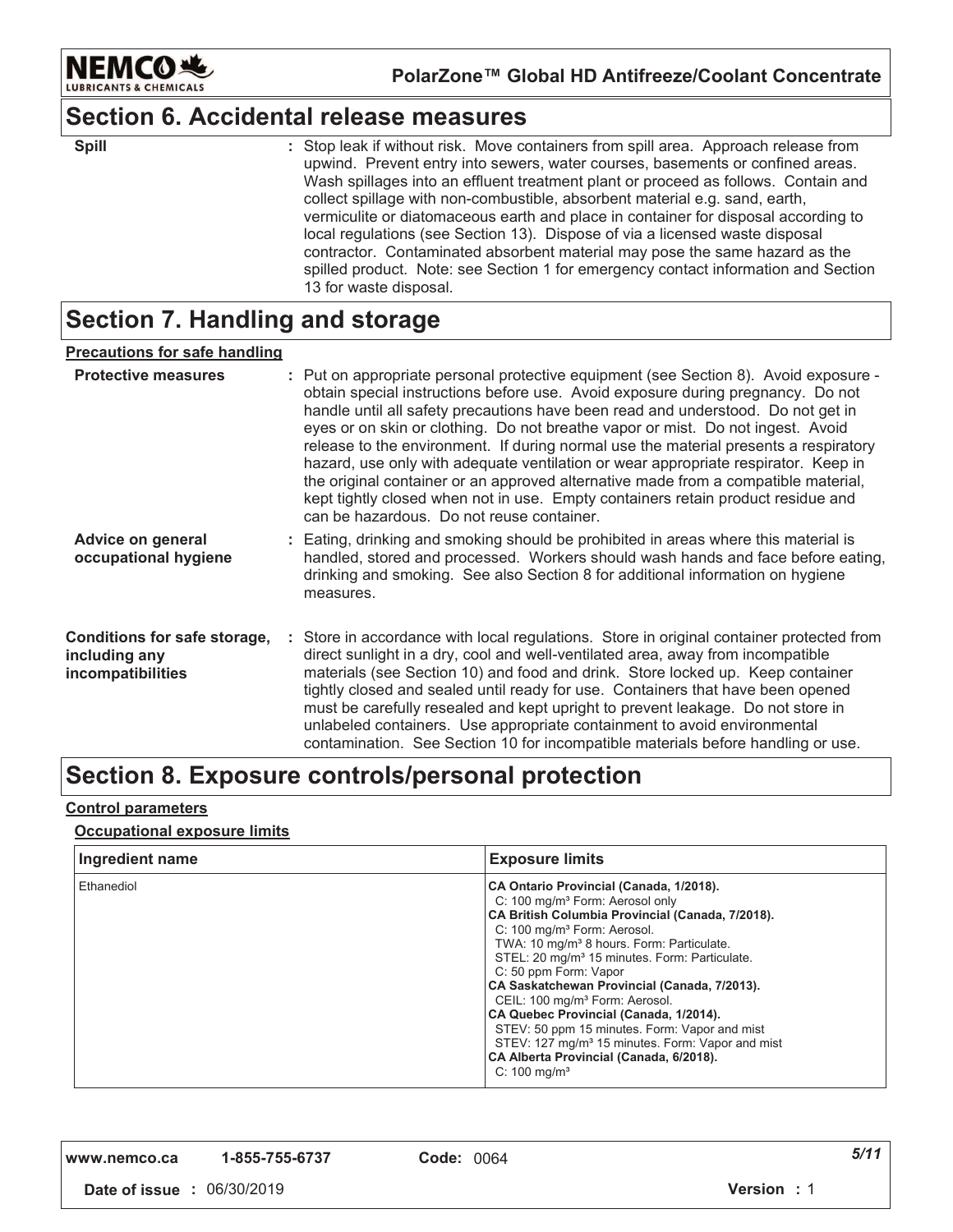

### **Section 6. Accidental release measures**

| <b>Spill</b> |  |
|--------------|--|
|              |  |

: Stop leak if without risk. Move containers from spill area. Approach release from upwind. Prevent entry into sewers, water courses, basements or confined areas. Wash spillages into an effluent treatment plant or proceed as follows. Contain and collect spillage with non-combustible, absorbent material e.g. sand, earth, vermiculite or diatomaceous earth and place in container for disposal according to local regulations (see Section 13). Dispose of via a licensed waste disposal contractor. Contaminated absorbent material may pose the same hazard as the spilled product. Note: see Section 1 for emergency contact information and Section 13 for waste disposal.

### **Section 7. Handling and storage**

#### <u>Precautions for safe handling</u>

| <b>Protective measures</b>                                         | : Put on appropriate personal protective equipment (see Section 8). Avoid exposure -<br>obtain special instructions before use. Avoid exposure during pregnancy. Do not<br>handle until all safety precautions have been read and understood. Do not get in<br>eyes or on skin or clothing. Do not breathe vapor or mist. Do not ingest. Avoid<br>release to the environment. If during normal use the material presents a respiratory<br>hazard, use only with adequate ventilation or wear appropriate respirator. Keep in<br>the original container or an approved alternative made from a compatible material,<br>kept tightly closed when not in use. Empty containers retain product residue and<br>can be hazardous. Do not reuse container. |
|--------------------------------------------------------------------|-----------------------------------------------------------------------------------------------------------------------------------------------------------------------------------------------------------------------------------------------------------------------------------------------------------------------------------------------------------------------------------------------------------------------------------------------------------------------------------------------------------------------------------------------------------------------------------------------------------------------------------------------------------------------------------------------------------------------------------------------------|
| Advice on general<br>occupational hygiene                          | : Eating, drinking and smoking should be prohibited in areas where this material is<br>handled, stored and processed. Workers should wash hands and face before eating,<br>drinking and smoking. See also Section 8 for additional information on hygiene<br>measures.                                                                                                                                                                                                                                                                                                                                                                                                                                                                              |
| Conditions for safe storage,<br>including any<br>incompatibilities | : Store in accordance with local regulations. Store in original container protected from<br>direct sunlight in a dry, cool and well-ventilated area, away from incompatible<br>materials (see Section 10) and food and drink. Store locked up. Keep container<br>tightly closed and sealed until ready for use. Containers that have been opened<br>must be carefully resealed and kept upright to prevent leakage. Do not store in<br>unlabeled containers. Use appropriate containment to avoid environmental<br>contamination. See Section 10 for incompatible materials before handling or use.                                                                                                                                                 |

### Section 8. Exposure controls/personal protection

#### <u>Control parameters</u>

#### <u>**<u>Occupational exposure limits</u>**</u>

| Ingredient name | <b>Exposure limits</b>                                                                                                                                                                                                                                                                                                                                                                                                                                                                                                                                                                                                                                              |
|-----------------|---------------------------------------------------------------------------------------------------------------------------------------------------------------------------------------------------------------------------------------------------------------------------------------------------------------------------------------------------------------------------------------------------------------------------------------------------------------------------------------------------------------------------------------------------------------------------------------------------------------------------------------------------------------------|
| Ethanediol      | CA Ontario Provincial (Canada, 1/2018).<br>C: 100 mg/m <sup>3</sup> Form: Aerosol only<br>CA British Columbia Provincial (Canada, 7/2018).<br>C: 100 mg/m <sup>3</sup> Form: Aerosol.<br>TWA: 10 mg/m <sup>3</sup> 8 hours. Form: Particulate.<br>STEL: 20 mg/m <sup>3</sup> 15 minutes. Form: Particulate.<br>C: 50 ppm Form: Vapor<br>CA Saskatchewan Provincial (Canada, 7/2013).<br>CEIL: 100 mg/m <sup>3</sup> Form: Aerosol.<br>CA Quebec Provincial (Canada, 1/2014).<br>STEV: 50 ppm 15 minutes. Form: Vapor and mist<br>STEV: 127 mg/m <sup>3</sup> 15 minutes. Form: Vapor and mist<br>CA Alberta Provincial (Canada, 6/2018).<br>C: $100 \text{ mg/m}^3$ |

**,,," "123242 -**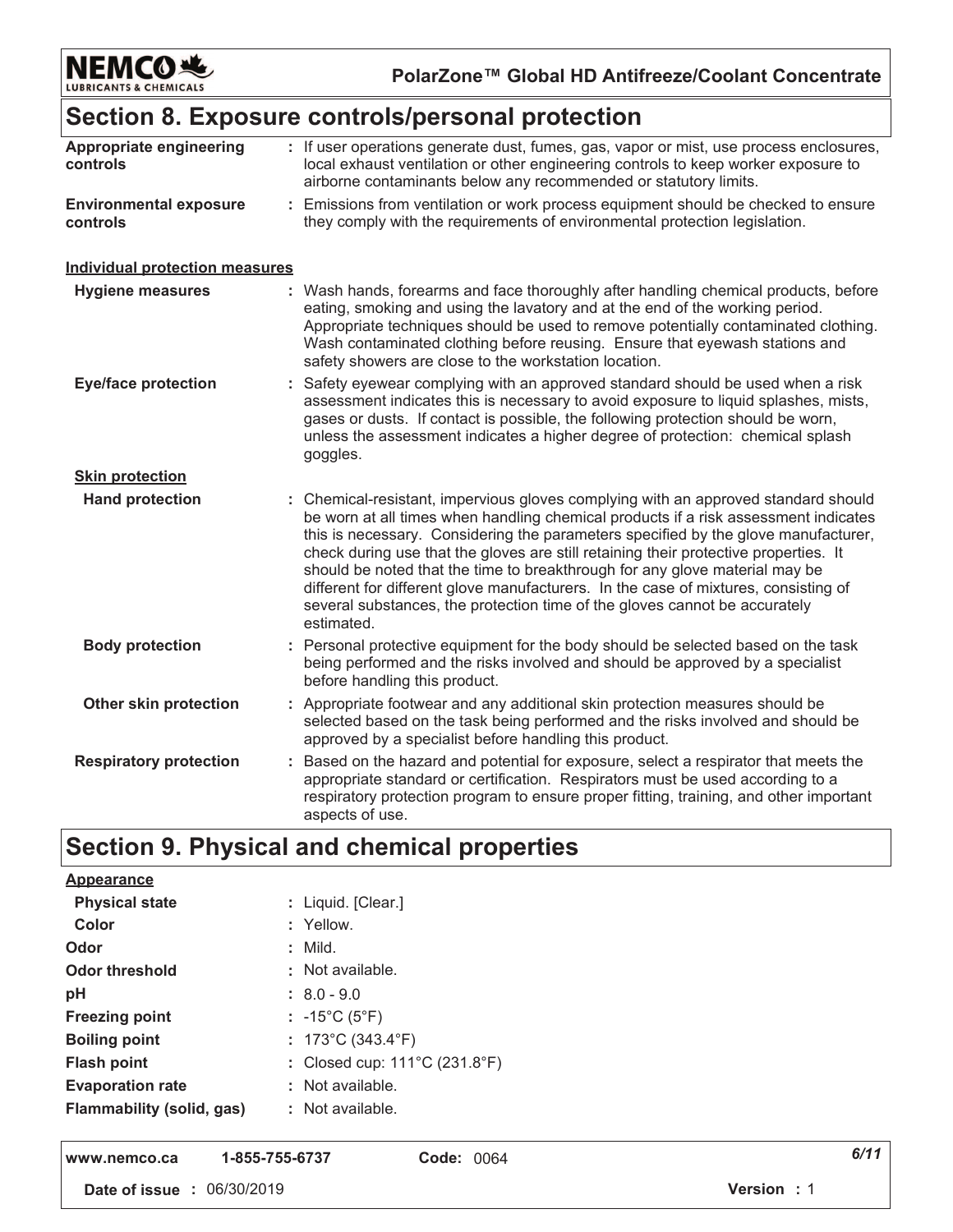

### Section 8. Exposure controls/personal protection

| Appropriate engineering<br>controls       | : If user operations generate dust, fumes, gas, vapor or mist, use process enclosures,<br>local exhaust ventilation or other engineering controls to keep worker exposure to<br>airborne contaminants below any recommended or statutory limits.                                                                                                                                                                                                                                                                                                                                                                          |
|-------------------------------------------|---------------------------------------------------------------------------------------------------------------------------------------------------------------------------------------------------------------------------------------------------------------------------------------------------------------------------------------------------------------------------------------------------------------------------------------------------------------------------------------------------------------------------------------------------------------------------------------------------------------------------|
| <b>Environmental exposure</b><br>controls | : Emissions from ventilation or work process equipment should be checked to ensure<br>they comply with the requirements of environmental protection legislation.                                                                                                                                                                                                                                                                                                                                                                                                                                                          |
| <b>Individual protection measures</b>     |                                                                                                                                                                                                                                                                                                                                                                                                                                                                                                                                                                                                                           |
| <b>Hygiene measures</b>                   | : Wash hands, forearms and face thoroughly after handling chemical products, before<br>eating, smoking and using the lavatory and at the end of the working period.<br>Appropriate techniques should be used to remove potentially contaminated clothing.<br>Wash contaminated clothing before reusing. Ensure that eyewash stations and<br>safety showers are close to the workstation location.                                                                                                                                                                                                                         |
| <b>Eye/face protection</b>                | : Safety eyewear complying with an approved standard should be used when a risk<br>assessment indicates this is necessary to avoid exposure to liquid splashes, mists,<br>gases or dusts. If contact is possible, the following protection should be worn,<br>unless the assessment indicates a higher degree of protection: chemical splash<br>goggles.                                                                                                                                                                                                                                                                  |
| <b>Skin protection</b>                    |                                                                                                                                                                                                                                                                                                                                                                                                                                                                                                                                                                                                                           |
| <b>Hand protection</b>                    | : Chemical-resistant, impervious gloves complying with an approved standard should<br>be worn at all times when handling chemical products if a risk assessment indicates<br>this is necessary. Considering the parameters specified by the glove manufacturer,<br>check during use that the gloves are still retaining their protective properties. It<br>should be noted that the time to breakthrough for any glove material may be<br>different for different glove manufacturers. In the case of mixtures, consisting of<br>several substances, the protection time of the gloves cannot be accurately<br>estimated. |
| <b>Body protection</b>                    | : Personal protective equipment for the body should be selected based on the task<br>being performed and the risks involved and should be approved by a specialist<br>before handling this product.                                                                                                                                                                                                                                                                                                                                                                                                                       |
| Other skin protection                     | : Appropriate footwear and any additional skin protection measures should be<br>selected based on the task being performed and the risks involved and should be<br>approved by a specialist before handling this product.                                                                                                                                                                                                                                                                                                                                                                                                 |
| <b>Respiratory protection</b>             | : Based on the hazard and potential for exposure, select a respirator that meets the<br>appropriate standard or certification. Respirators must be used according to a<br>respiratory protection program to ensure proper fitting, training, and other important<br>aspects of use.                                                                                                                                                                                                                                                                                                                                       |

## Section 9. Physical and chemical properties

| <b>Appearance</b>                |                                         |
|----------------------------------|-----------------------------------------|
| <b>Physical state</b>            | : Liquid. [Clear.]                      |
| Color                            | : Yellow.                               |
| Odor                             | : Mild.                                 |
| <b>Odor threshold</b>            | : Not available.                        |
| pH                               | $: 8.0 - 9.0$                           |
| <b>Freezing point</b>            | : $-15^{\circ}$ C (5 $^{\circ}$ F)      |
| <b>Boiling point</b>             | : $173^{\circ}$ C (343.4 $^{\circ}$ F)  |
| <b>Flash point</b>               | : Closed cup: $111^{\circ}$ C (231.8°F) |
| <b>Evaporation rate</b>          | : Not available.                        |
| <b>Flammability (solid, gas)</b> | $:$ Not available.                      |
|                                  |                                         |

www.nemco.ca 1-855-755-6737 Code: 0064

Date of issue : 06/30/2019

 $6/11$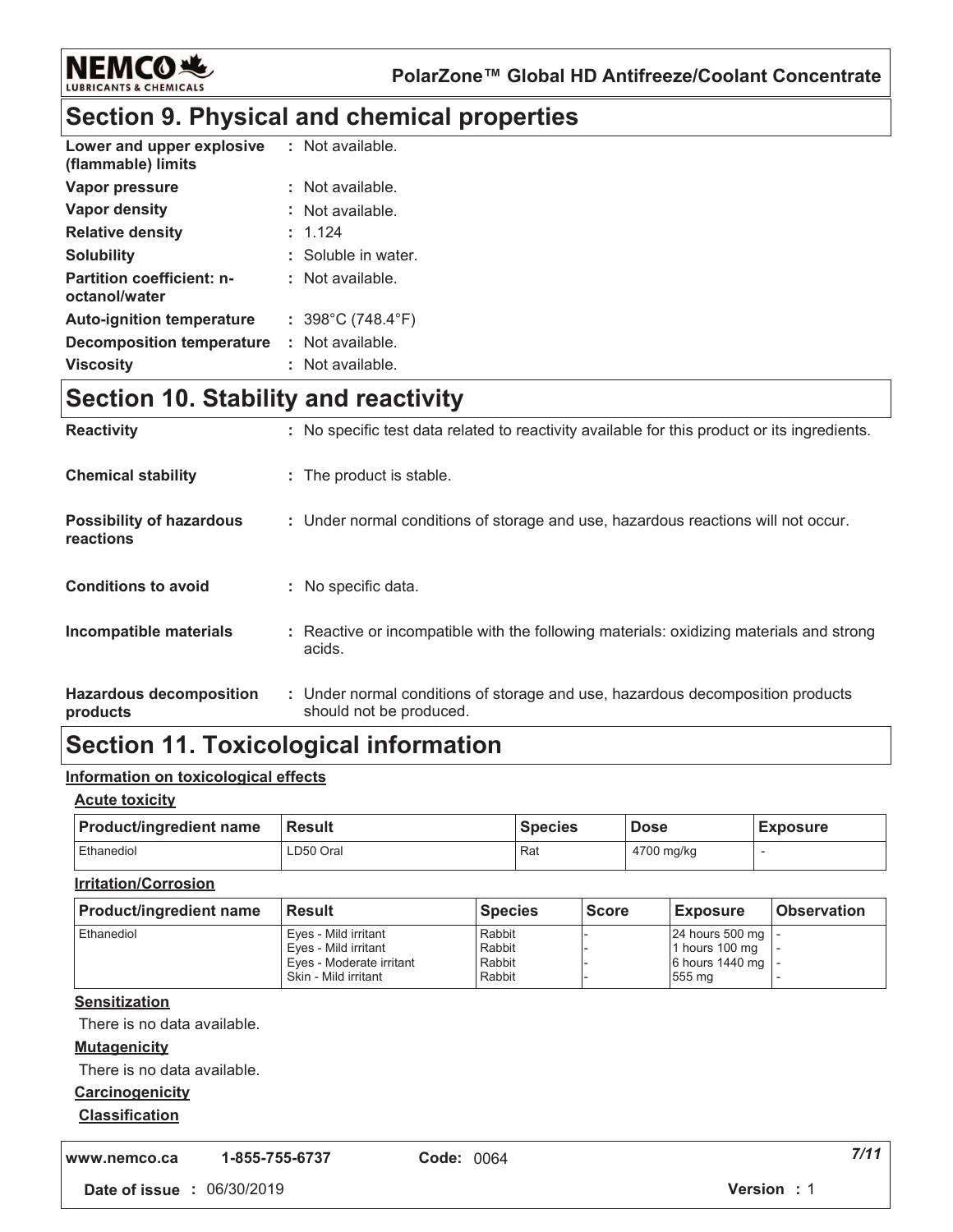

### **Section 9. Physical and chemical properties**

| Lower and upper explosive<br>(flammable) limits   | : Not available.                       |
|---------------------------------------------------|----------------------------------------|
| Vapor pressure                                    | : Not available.                       |
| Vapor density                                     | : Not available.                       |
| <b>Relative density</b>                           | : 1.124                                |
| <b>Solubility</b>                                 | : Soluble in water.                    |
| <b>Partition coefficient: n-</b><br>octanol/water | : Not available.                       |
| <b>Auto-ignition temperature</b>                  | : $398^{\circ}$ C (748.4 $^{\circ}$ F) |
| Decomposition temperature                         | : Not available.                       |
| <b>Viscosity</b>                                  | : Not available.                       |

### **Section 10. Stability and reactivity**

| <b>Reactivity</b>                            | : No specific test data related to reactivity available for this product or its ingredients.              |
|----------------------------------------------|-----------------------------------------------------------------------------------------------------------|
| <b>Chemical stability</b>                    | : The product is stable.                                                                                  |
| <b>Possibility of hazardous</b><br>reactions | : Under normal conditions of storage and use, hazardous reactions will not occur.                         |
| <b>Conditions to avoid</b>                   | : No specific data.                                                                                       |
| Incompatible materials                       | : Reactive or incompatible with the following materials: oxidizing materials and strong<br>acids.         |
| <b>Hazardous decomposition</b><br>products   | : Under normal conditions of storage and use, hazardous decomposition products<br>should not be produced. |

### **Section 11. Toxicological information**

#### <u>Information on toxicological effects</u>

#### <u>Acute toxicity</u>

| <b>Product/ingredient name</b> | <b>Result</b> | <b>Species</b> | <b>Dose</b> | <b>Exposure</b> |
|--------------------------------|---------------|----------------|-------------|-----------------|
| Ethanediol                     | LD50 Oral     | Rat            | 4700 mg/kg  |                 |

#### <u>**Irritation/Corrosion</u>**</u>

| <b>Product/ingredient name</b> | <b>Result</b>            | <b>Species</b> | <b>Score</b> | <b>Exposure</b>     | <b>Observation</b> |
|--------------------------------|--------------------------|----------------|--------------|---------------------|--------------------|
| Ethanediol                     | Eyes - Mild irritant     | Rabbit         |              | 24 hours 500 mg   - |                    |
|                                | Eyes - Mild irritant     | Rabbit         |              | 1 hours 100 mg      |                    |
|                                | Eves - Moderate irritant | Rabbit         |              | 6 hours 1440 mg   - |                    |
|                                | Skin - Mild irritant     | Rabbit         |              | 555 mg              |                    |

#### <u>Sensitization</u>

There is no data available.

#### <u>**Mutagenicity</u>**</u>

There is no data available.

#### <u>Carcinogenicity</u>

#### <u>Classification</u>

**,,," "123242 -**

**bde:** 0064 **7/1**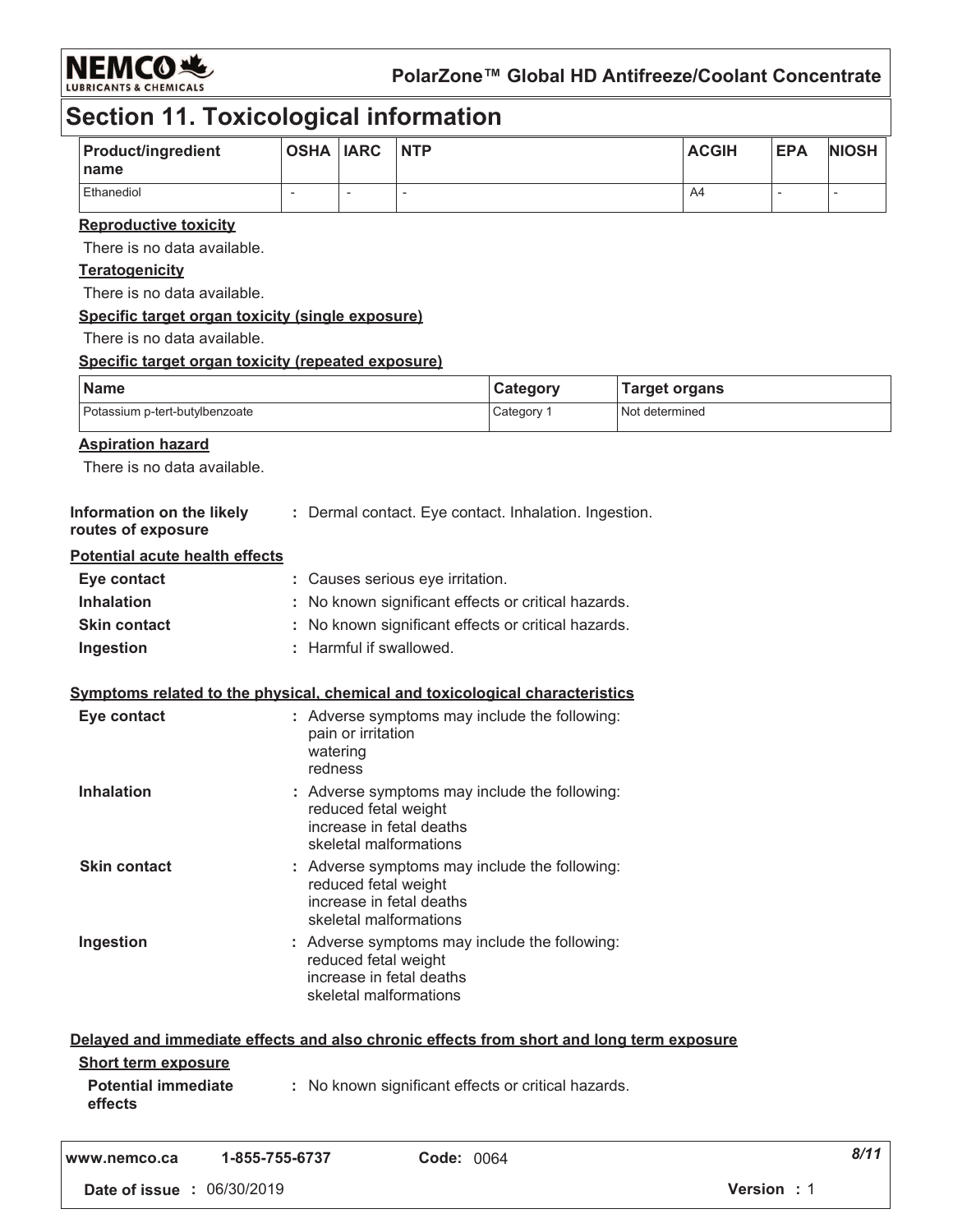

### **Section 11. Toxicological information**

| Product/ingredient                                                                       | <b>OSHA IARC</b>         |                          | <b>NTP</b>                                         |                                                       |                      | <b>ACGIH</b> | <b>EPA</b>               | <b>NIOSH</b>             |
|------------------------------------------------------------------------------------------|--------------------------|--------------------------|----------------------------------------------------|-------------------------------------------------------|----------------------|--------------|--------------------------|--------------------------|
| name                                                                                     |                          |                          |                                                    |                                                       |                      |              |                          |                          |
| Ethanediol                                                                               | $\overline{\phantom{a}}$ | $\overline{\phantom{a}}$ | $\overline{\phantom{a}}$                           |                                                       |                      | A4           | $\overline{\phantom{a}}$ | $\overline{\phantom{0}}$ |
| <b>Reproductive toxicity</b>                                                             |                          |                          |                                                    |                                                       |                      |              |                          |                          |
| There is no data available.                                                              |                          |                          |                                                    |                                                       |                      |              |                          |                          |
| <b>Teratogenicity</b>                                                                    |                          |                          |                                                    |                                                       |                      |              |                          |                          |
| There is no data available.                                                              |                          |                          |                                                    |                                                       |                      |              |                          |                          |
| Specific target organ toxicity (single exposure)                                         |                          |                          |                                                    |                                                       |                      |              |                          |                          |
| There is no data available.                                                              |                          |                          |                                                    |                                                       |                      |              |                          |                          |
| Specific target organ toxicity (repeated exposure)                                       |                          |                          |                                                    |                                                       |                      |              |                          |                          |
| <b>Name</b>                                                                              |                          |                          |                                                    | Category                                              | <b>Target organs</b> |              |                          |                          |
| Potassium p-tert-butylbenzoate                                                           |                          |                          |                                                    | Category 1                                            | Not determined       |              |                          |                          |
| <b>Aspiration hazard</b>                                                                 |                          |                          |                                                    |                                                       |                      |              |                          |                          |
| There is no data available.                                                              |                          |                          |                                                    |                                                       |                      |              |                          |                          |
|                                                                                          |                          |                          |                                                    |                                                       |                      |              |                          |                          |
| Information on the likely<br>routes of exposure                                          |                          |                          |                                                    | : Dermal contact. Eye contact. Inhalation. Ingestion. |                      |              |                          |                          |
| <b>Potential acute health effects</b>                                                    |                          |                          |                                                    |                                                       |                      |              |                          |                          |
| Eye contact                                                                              |                          |                          | : Causes serious eye irritation.                   |                                                       |                      |              |                          |                          |
| <b>Inhalation</b>                                                                        |                          |                          |                                                    | : No known significant effects or critical hazards.   |                      |              |                          |                          |
| <b>Skin contact</b>                                                                      |                          |                          |                                                    | : No known significant effects or critical hazards.   |                      |              |                          |                          |
| Ingestion                                                                                |                          |                          | : Harmful if swallowed.                            |                                                       |                      |              |                          |                          |
|                                                                                          |                          |                          |                                                    |                                                       |                      |              |                          |                          |
| Symptoms related to the physical, chemical and toxicological characteristics             |                          |                          |                                                    |                                                       |                      |              |                          |                          |
| Eye contact                                                                              | watering<br>redness      | pain or irritation       |                                                    | : Adverse symptoms may include the following:         |                      |              |                          |                          |
| <b>Inhalation</b>                                                                        |                          |                          |                                                    | : Adverse symptoms may include the following:         |                      |              |                          |                          |
|                                                                                          |                          | reduced fetal weight     | increase in fetal deaths<br>skeletal malformations |                                                       |                      |              |                          |                          |
| <b>Skin contact</b>                                                                      |                          |                          |                                                    | : Adverse symptoms may include the following:         |                      |              |                          |                          |
|                                                                                          |                          | reduced fetal weight     | increase in fetal deaths<br>skeletal malformations |                                                       |                      |              |                          |                          |
| Ingestion                                                                                |                          |                          |                                                    | : Adverse symptoms may include the following:         |                      |              |                          |                          |
|                                                                                          |                          | reduced fetal weight     | increase in fetal deaths<br>skeletal malformations |                                                       |                      |              |                          |                          |
| Delayed and immediate effects and also chronic effects from short and long term exposure |                          |                          |                                                    |                                                       |                      |              |                          |                          |
| <b>Short term exposure</b>                                                               |                          |                          |                                                    |                                                       |                      |              |                          |                          |
| <b>Potential immediate</b><br>effects                                                    |                          |                          |                                                    | : No known significant effects or critical hazards.   |                      |              |                          |                          |
| 1-855-755-6737<br>www.nemco.ca                                                           |                          |                          | <b>Code: 0064</b>                                  |                                                       |                      |              |                          | 8/11                     |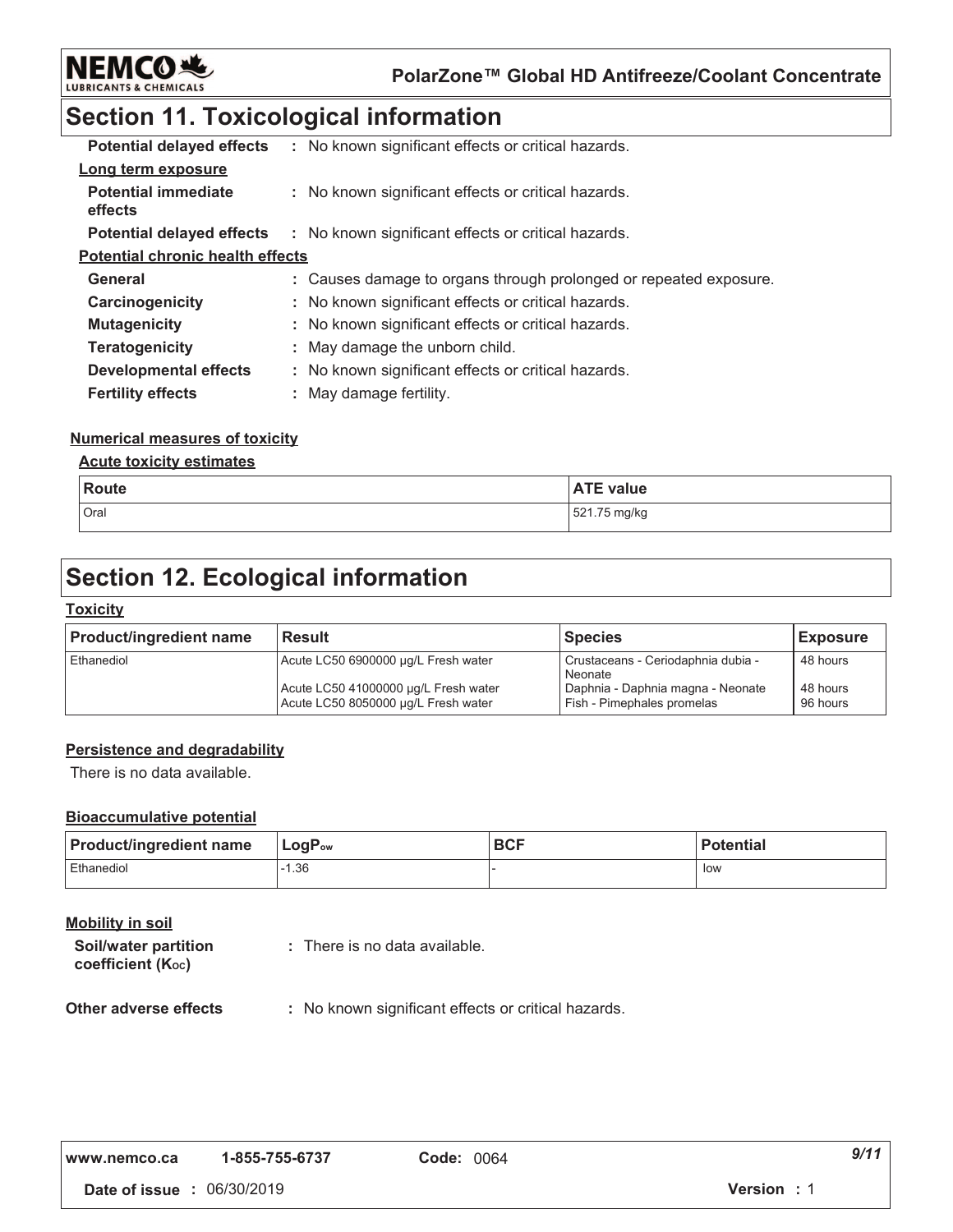

### **Section 11. Toxicological information**

| <b>Potential delayed effects</b>        | : No known significant effects or critical hazards.               |
|-----------------------------------------|-------------------------------------------------------------------|
| Long term exposure                      |                                                                   |
| <b>Potential immediate</b><br>effects   | : No known significant effects or critical hazards.               |
| <b>Potential delayed effects</b>        | : No known significant effects or critical hazards.               |
| <b>Potential chronic health effects</b> |                                                                   |
| General                                 | : Causes damage to organs through prolonged or repeated exposure. |
| Carcinogenicity                         | : No known significant effects or critical hazards.               |
| <b>Mutagenicity</b>                     | : No known significant effects or critical hazards.               |
| <b>Teratogenicity</b>                   | : May damage the unborn child.                                    |
| <b>Developmental effects</b>            | : No known significant effects or critical hazards.               |
| <b>Fertility effects</b>                | : May damage fertility.                                           |

#### <u>Numerical measures of toxicity</u>

#### <u>**<u>Acute toxicity estimates</u>**</u>

| Route | <b>ATE value</b> |
|-------|------------------|
| Oral  | 521.75 mg/kg     |

### **Section 12. Ecological information**

#### <u> Toxicity</u>

| <b>Product/ingredient name</b> | <b>Result</b>                                                               | <b>Species</b>                                                  | <b>Exposure</b>      |
|--------------------------------|-----------------------------------------------------------------------------|-----------------------------------------------------------------|----------------------|
| Ethanediol                     | Acute LC50 6900000 µg/L Fresh water                                         | Crustaceans - Ceriodaphnia dubia -<br>Neonate                   | 48 hours             |
|                                | Acute LC50 41000000 µg/L Fresh water<br>Acute LC50 8050000 µg/L Fresh water | Daphnia - Daphnia magna - Neonate<br>Fish - Pimephales promelas | 48 hours<br>96 hours |

#### **Persistence and degradability**

There is no data available.

#### **Bioaccumulative potential**

| <b>Product/ingredient name</b> | $\mathsf{LogP}_\mathsf{ow}$ | <b>BCF</b> | <b>Potential</b> |
|--------------------------------|-----------------------------|------------|------------------|
| Ethanediol                     | $-1.36$                     |            | low              |

#### <u>Mobility in soil</u>

| Soil/water partition | : There is no data available. |
|----------------------|-------------------------------|
| coefficient (Koc)    |                               |

#### **Other adverse effect**  $\colon$  No known significant effects or critical hazards.

| www.nemco.ca | 1-855-755-6737 | C |
|--------------|----------------|---|
|              |                |   |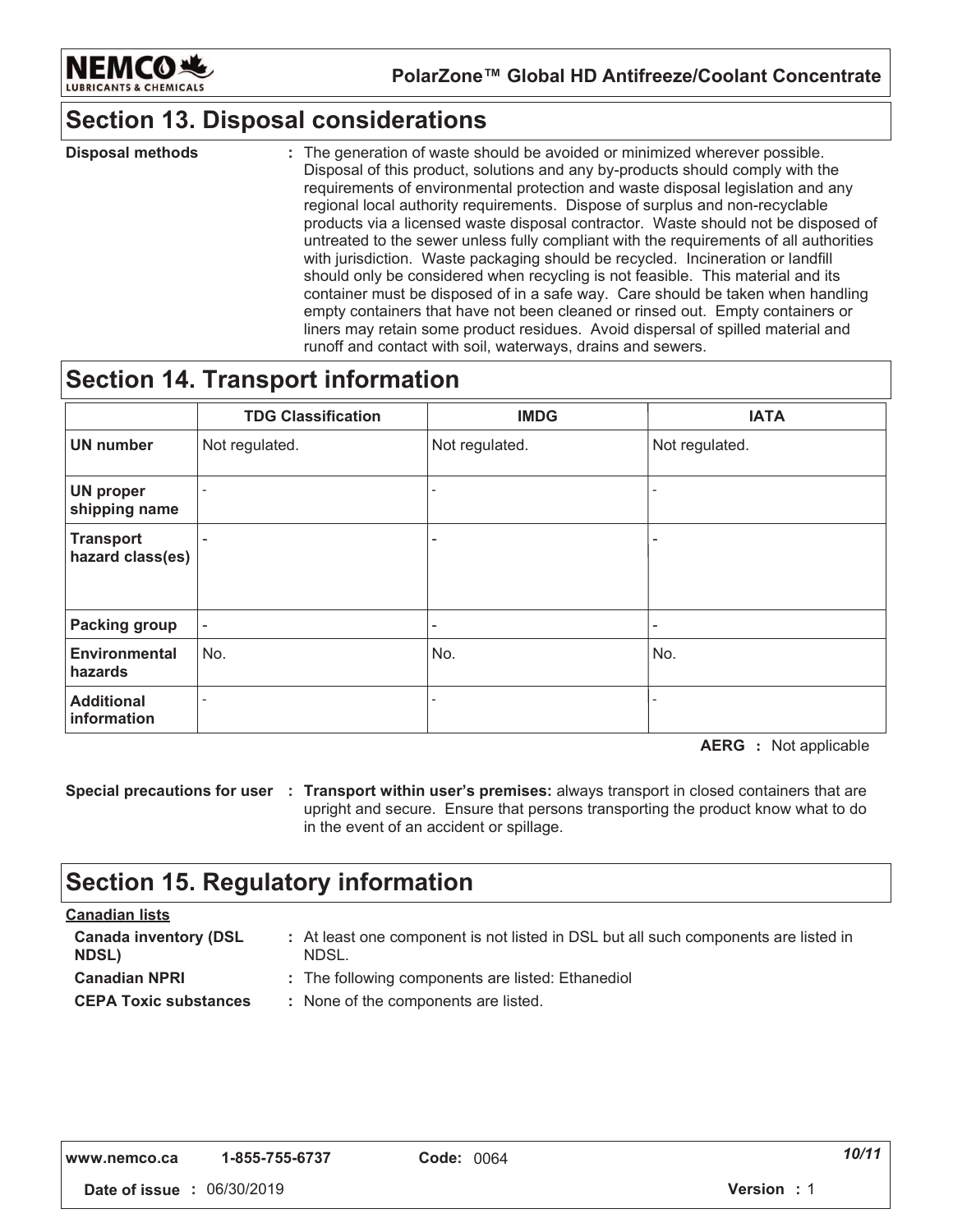

### **Section 13. Disposal considerations**

: The generation of waste should be avoided or minimized wherever possible. Disposal of this product, solutions and any by-products should comply with the requirements of environmental protection and waste disposal legislation and any regional local authority requirements. Dispose of surplus and non-recyclable products via a licensed waste disposal contractor. Waste should not be disposed of untreated to the sewer unless fully compliant with the requirements of all authorities with jurisdiction. Waste packaging should be recycled. Incineration or landfill should only be considered when recycling is not feasible. This material and its container must be disposed of in a safe way. Care should be taken when handling empty containers that have not been cleaned or rinsed out. Empty containers or liners may retain some product residues. Avoid dispersal of spilled material and runoff and contact with soil, waterways, drains and sewers. **Disposal methods :**  $\qquad \qquad :$ 

### **Section 14. Transport information**

|                                      | <b>TDG Classification</b> | <b>IMDG</b>              | <b>IATA</b>              |
|--------------------------------------|---------------------------|--------------------------|--------------------------|
| <b>UN number</b>                     | Not regulated.            | Not regulated.           | Not regulated.           |
| <b>UN proper</b><br>shipping name    |                           | $\overline{\phantom{a}}$ | $\overline{\phantom{0}}$ |
| <b>Transport</b><br>hazard class(es) |                           | ٠                        | ۰                        |
| <b>Packing group</b>                 | ٠                         | $\overline{\phantom{m}}$ | ٠                        |
| <b>Environmental</b><br>hazards      | No.                       | No.                      | No.                      |
| <b>Additional</b><br>information     |                           | $\blacksquare$           |                          |

**AERG** : Not applicable

**Special precautions for user : Transport within user's premises: always transport in closed containers that are** upright and secure. Ensure that persons transporting the product know what to do in the event of an accident or spillage.

### **Section 15. Regulatory information**

| <u>Canadian lists</u>                        |                                                                                              |
|----------------------------------------------|----------------------------------------------------------------------------------------------|
| <b>Canada inventory (DSL</b><br><b>NDSL)</b> | : At least one component is not listed in DSL but all such components are listed in<br>NDSL. |
| <b>Canadian NPRI</b>                         | : The following components are listed: Ethanediol                                            |
| <b>CEPA Toxic substances</b>                 | : None of the components are listed.                                                         |